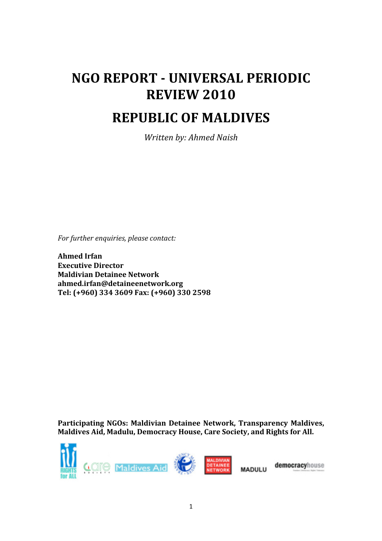# **NGO REPORT - UNIVERSAL PERIODIC REVIEW!2010 REPUBLIC!OF!MALDIVES**

*Written by: Ahmed Naish* 

*For'further'enquiries,'please'contact:*

**Ahmed!Irfan Executive!Director Maldivian!Detainee!Network ahmed.irfan@detaineenetwork.org** Tel: (+960) 334 3609 Fax: (+960) 330 2598

Participating NGOs: Maldivian Detainee Network, Transparency Maldives, Maldives Aid, Madulu, Democracy House, Care Society, and Rights for All.



democracyhouse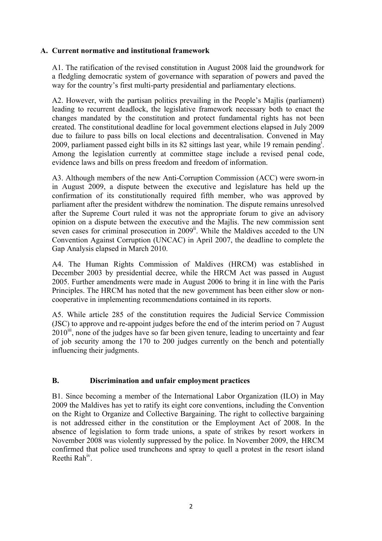#### **A. Current normative and institutional framework**

A1. The ratification of the revised constitution in August 2008 laid the groundwork for a fledgling democratic system of governance with separation of powers and paved the way for the country's first multi-party presidential and parliamentary elections.

A2. However, with the partisan politics prevailing in the People's Majlis (parliament) leading to recurrent deadlock, the legislative framework necessary both to enact the changes mandated by the constitution and protect fundamental rights has not been created. The constitutional deadline for local government elections elapsed in July 2009 due to failure to pass bills on local elections and decentralisation. Convened in May 2009, parliament passed eight bills in its 82 sittings last year, while 19 remain pending<sup>i</sup>. Among the legislation currently at committee stage include a revised penal code, evidence laws and bills on press freedom and freedom of information.

A3. Although members of the new Anti-Corruption Commission (ACC) were sworn-in in August 2009, a dispute between the executive and legislature has held up the confirmation of its constitutionally required fifth member, who was approved by parliament after the president withdrew the nomination. The dispute remains unresolved after the Supreme Court ruled it was not the appropriate forum to give an advisory opinion on a dispute between the executive and the Majlis. The new commission sent seven cases for criminal prosecution in 2009<sup>ii</sup>. While the Maldives acceded to the UN Convention Against Corruption (UNCAC) in April 2007, the deadline to complete the Gap Analysis elapsed in March 2010.

A4. The Human Rights Commission of Maldives (HRCM) was established in December 2003 by presidential decree, while the HRCM Act was passed in August 2005. Further amendments were made in August 2006 to bring it in line with the Paris Principles. The HRCM has noted that the new government has been either slow or noncooperative in implementing recommendations contained in its reports.

A5. While article 285 of the constitution requires the Judicial Service Commission (JSC) to approve and re-appoint judges before the end of the interim period on 7 August  $2010^{\text{m}}$ , none of the judges have so far been given tenure, leading to uncertainty and fear of job security among the 170 to 200 judges currently on the bench and potentially influencing their judgments.

## **B. Discrimination and unfair employment practices**

B1. Since becoming a member of the International Labor Organization (ILO) in May 2009 the Maldives has yet to ratify its eight core conventions, including the Convention on the Right to Organize and Collective Bargaining. The right to collective bargaining is not addressed either in the constitution or the Employment Act of 2008. In the absence of legislation to form trade unions, a spate of strikes by resort workers in November 2008 was violently suppressed by the police. In November 2009, the HRCM confirmed that police used truncheons and spray to quell a protest in the resort island Reethi Rahiv.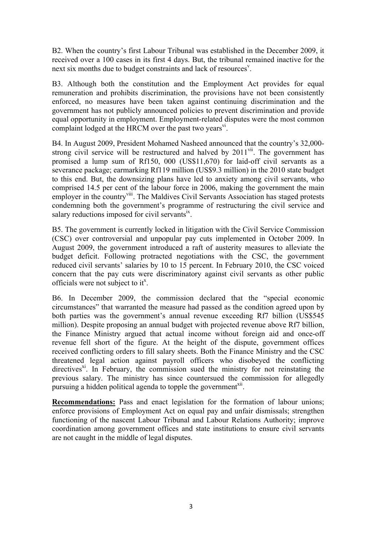B2. When the country's first Labour Tribunal was established in the December 2009, it received over a 100 cases in its first 4 days. But, the tribunal remained inactive for the next six months due to budget constraints and lack of resources<sup>v</sup>.

B3. Although both the constitution and the Employment Act provides for equal remuneration and prohibits discrimination, the provisions have not been consistently enforced, no measures have been taken against continuing discrimination and the government has not publicly announced policies to prevent discrimination and provide equal opportunity in employment. Employment-related disputes were the most common complaint lodged at the HRCM over the past two years $v_1$ .

B4. In August 2009, President Mohamed Nasheed announced that the country's 32,000 strong civil service will be restructured and halved by  $2011$ <sup>vii</sup>. The government has promised a lump sum of Rf150, 000 (US\$11,670) for laid-off civil servants as a severance package; earmarking Rf119 million (US\$9.3 million) in the 2010 state budget to this end. But, the downsizing plans have led to anxiety among civil servants, who comprised 14.5 per cent of the labour force in 2006, making the government the main employer in the country<sup>viii</sup>. The Maldives Civil Servants Association has staged protests condemning both the government's programme of restructuring the civil service and salary reductions imposed for civil servants<sup>ix</sup>.

B5. The government is currently locked in litigation with the Civil Service Commission (CSC) over controversial and unpopular pay cuts implemented in October 2009. In August 2009, the government introduced a raft of austerity measures to alleviate the budget deficit. Following protracted negotiations with the CSC, the government reduced civil servants' salaries by 10 to 15 percent. In February 2010, the CSC voiced concern that the pay cuts were discriminatory against civil servants as other public officials were not subject to it<sup>x</sup>.

B6. In December 2009, the commission declared that the "special economic circumstances" that warranted the measure had passed as the condition agreed upon by both parties was the government's annual revenue exceeding Rf7 billion (US\$545 million). Despite proposing an annual budget with projected revenue above Rf7 billion, the Finance Ministry argued that actual income without foreign aid and once-off revenue fell short of the figure. At the height of the dispute, government offices received conflicting orders to fill salary sheets. Both the Finance Ministry and the CSC threatened legal action against payroll officers who disobeyed the conflicting directives<sup>xi</sup>. In February, the commission sued the ministry for not reinstating the previous salary. The ministry has since countersued the commission for allegedly pursuing a hidden political agenda to topple the government<sup>xii</sup>.

**Recommendations:** Pass and enact legislation for the formation of labour unions; enforce provisions of Employment Act on equal pay and unfair dismissals; strengthen functioning of the nascent Labour Tribunal and Labour Relations Authority; improve coordination among government offices and state institutions to ensure civil servants are not caught in the middle of legal disputes.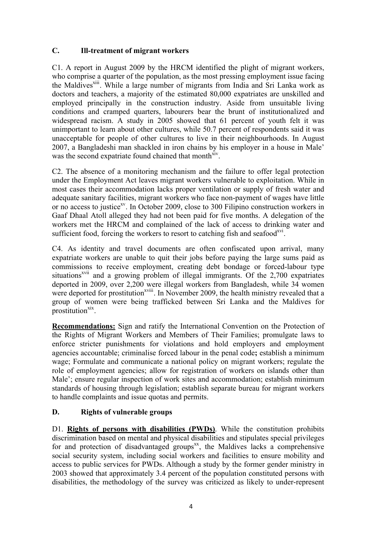# **C. Ill-treatment of migrant workers**

C1. A report in August 2009 by the HRCM identified the plight of migrant workers, who comprise a quarter of the population, as the most pressing employment issue facing the Maldives<sup>xiii</sup>. While a large number of migrants from India and Sri Lanka work as doctors and teachers, a majority of the estimated 80,000 expatriates are unskilled and employed principally in the construction industry. Aside from unsuitable living conditions and cramped quarters, labourers bear the brunt of institutionalized and widespread racism. A study in 2005 showed that 61 percent of youth felt it was unimportant to learn about other cultures, while 50.7 percent of respondents said it was unacceptable for people of other cultures to live in their neighbourhoods. In August 2007, a Bangladeshi man shackled in iron chains by his employer in a house in Male' was the second expatriate found chained that month<sup>xiv</sup>.

C2. The absence of a monitoring mechanism and the failure to offer legal protection under the Employment Act leaves migrant workers vulnerable to exploitation. While in most cases their accommodation lacks proper ventilation or supply of fresh water and adequate sanitary facilities, migrant workers who face non-payment of wages have little or no access to justice<sup>xy</sup>. In October 2009, close to 300 Filipino construction workers in Gaaf Dhaal Atoll alleged they had not been paid for five months. A delegation of the workers met the HRCM and complained of the lack of access to drinking water and sufficient food, forcing the workers to resort to catching fish and seafood<sup> $xyi$ </sup>.

C4. As identity and travel documents are often confiscated upon arrival, many expatriate workers are unable to quit their jobs before paying the large sums paid as commissions to receive employment, creating debt bondage or forced-labour type situations<sup>xvii</sup> and a growing problem of illegal immigrants. Of the 2,700 expatriates deported in 2009, over 2,200 were illegal workers from Bangladesh, while 34 women were deported for prostitution<sup>xviii</sup>. In November 2009, the health ministry revealed that a group of women were being trafficked between Sri Lanka and the Maldives for prostitution $\frac{xx}{x}$ .

**Recommendations:** Sign and ratify the International Convention on the Protection of the Rights of Migrant Workers and Members of Their Families; promulgate laws to enforce stricter punishments for violations and hold employers and employment agencies accountable; criminalise forced labour in the penal code**;** establish a minimum wage; Formulate and communicate a national policy on migrant workers; regulate the role of employment agencies; allow for registration of workers on islands other than Male'; ensure regular inspection of work sites and accommodation; establish minimum standards of housing through legislation; establish separate bureau for migrant workers to handle complaints and issue quotas and permits.

## **D. Rights of vulnerable groups**

D1. **Rights of persons with disabilities (PWDs)**. While the constitution prohibits discrimination based on mental and physical disabilities and stipulates special privileges for and protection of disadvantaged groups $x^x$ , the Maldives lacks a comprehensive social security system, including social workers and facilities to ensure mobility and access to public services for PWDs. Although a study by the former gender ministry in 2003 showed that approximately 3.4 percent of the population constituted persons with disabilities, the methodology of the survey was criticized as likely to under-represent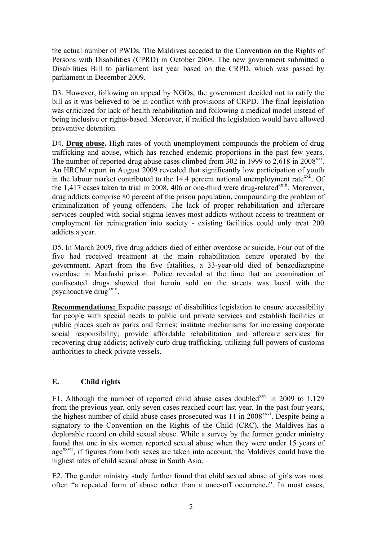the actual number of PWDs. The Maldives acceded to the Convention on the Rights of Persons with Disabilities (CPRD) in October 2008. The new government submitted a Disabilities Bill to parliament last year based on the CRPD, which was passed by parliament in December 2009.

D3. However, following an appeal by NGOs, the government decided not to ratify the bill as it was believed to be in conflict with provisions of CRPD. The final legislation was criticized for lack of health rehabilitation and following a medical model instead of being inclusive or rights-based. Moreover, if ratified the legislation would have allowed preventive detention.

D4. **Drug abuse.** High rates of youth unemployment compounds the problem of drug trafficking and abuse, which has reached endemic proportions in the past few years. The number of reported drug abuse cases climbed from 302 in 1999 to  $2.618$  in  $2008^{xxi}$ . An HRCM report in August 2009 revealed that significantly low participation of youth in the labour market contributed to the 14.4 percent national unemployment rate<sup>xxii</sup>. Of the 1,417 cases taken to trial in 2008, 406 or one-third were drug-related<sup>xxiii</sup>. Moreover, drug addicts comprise 80 percent of the prison population, compounding the problem of criminalization of young offenders. The lack of proper rehabilitation and aftercare services coupled with social stigma leaves most addicts without access to treatment or employment for reintegration into society - existing facilities could only treat 200 addicts a year.

D5. In March 2009, five drug addicts died of either overdose or suicide. Four out of the five had received treatment at the main rehabilitation centre operated by the government. Apart from the five fatalities, a 33-year-old died of benzodiazepine overdose in Maafushi prison. Police revealed at the time that an examination of confiscated drugs showed that heroin sold on the streets was laced with the psychoactive drug<sup>xxiv</sup>.

**Recommendations:** Expedite passage of disabilities legislation to ensure accessibility for people with special needs to public and private services and establish facilities at public places such as parks and ferries; institute mechanisms for increasing corporate social responsibility; provide affordable rehabilitation and aftercare services for recovering drug addicts; actively curb drug trafficking, utilizing full powers of customs authorities to check private vessels.

## **E. Child rights**

E1. Although the number of reported child abuse cases doubled<sup>xxv</sup> in 2009 to  $1,129$ from the previous year, only seven cases reached court last year. In the past four years, the highest number of child abuse cases prosecuted was 11 in 2008<sup>xxvi</sup>. Despite being a signatory to the Convention on the Rights of the Child (CRC), the Maldives has a deplorable record on child sexual abuse. While a survey by the former gender ministry found that one in six women reported sexual abuse when they were under 15 years of age<sup>xxvii</sup>, if figures from both sexes are taken into account, the Maldives could have the highest rates of child sexual abuse in South Asia.

E2. The gender ministry study further found that child sexual abuse of girls was most often "a repeated form of abuse rather than a once-off occurrence". In most cases,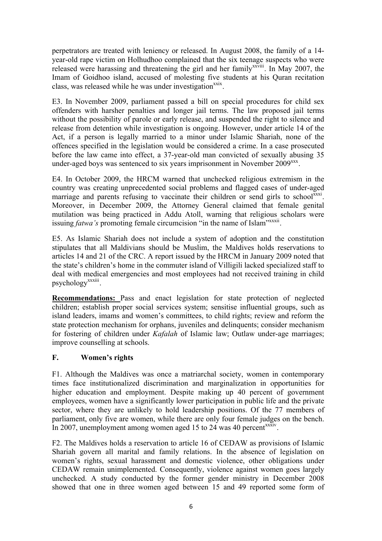perpetrators are treated with leniency or released. In August 2008, the family of a 14 year-old rape victim on Holhudhoo complained that the six teenage suspects who were released were harassing and threatening the girl and her family<sup>xxviii</sup>. In May 2007, the Imam of Goidhoo island, accused of molesting five students at his Quran recitation class, was released while he was under investigation<sup>xxix</sup>.

E3. In November 2009, parliament passed a bill on special procedures for child sex offenders with harsher penalties and longer jail terms. The law proposed jail terms without the possibility of parole or early release, and suspended the right to silence and release from detention while investigation is ongoing. However, under article 14 of the Act, if a person is legally married to a minor under Islamic Shariah, none of the offences specified in the legislation would be considered a crime. In a case prosecuted before the law came into effect, a 37-year-old man convicted of sexually abusing 35 under-aged boys was sentenced to six years imprisonment in November  $2009^{xxx}$ .

E4. In October 2009, the HRCM warned that unchecked religious extremism in the country was creating unprecedented social problems and flagged cases of under-aged marriage and parents refusing to vaccinate their children or send girls to school<sup>xxxi</sup>. Moreover, in December 2009, the Attorney General claimed that female genital mutilation was being practiced in Addu Atoll, warning that religious scholars were issuing *fatwa's* promoting female circumcision "in the name of Islam"<sup>xxxxii</sup>.

E5. As Islamic Shariah does not include a system of adoption and the constitution stipulates that all Maldivians should be Muslim, the Maldives holds reservations to articles 14 and 21 of the CRC. A report issued by the HRCM in January 2009 noted that the state's children's home in the commuter island of Villigili lacked specialized staff to deal with medical emergencies and most employees had not received training in child psychology<sup>xxxiii</sup>.

**Recommendations:** Pass and enact legislation for state protection of neglected children; establish proper social services system; sensitise influential groups, such as island leaders, imams and women's committees, to child rights; review and reform the state protection mechanism for orphans, juveniles and delinquents; consider mechanism for fostering of children under *Kafalah* of Islamic law; Outlaw under-age marriages; improve counselling at schools.

## **F. Women's rights**

F1. Although the Maldives was once a matriarchal society, women in contemporary times face institutionalized discrimination and marginalization in opportunities for higher education and employment. Despite making up 40 percent of government employees, women have a significantly lower participation in public life and the private sector, where they are unlikely to hold leadership positions. Of the 77 members of parliament, only five are women, while there are only four female judges on the bench. In 2007, unemployment among women aged 15 to 24 was 40 percent<sup>xxxiv</sup>.

F2. The Maldives holds a reservation to article 16 of CEDAW as provisions of Islamic Shariah govern all marital and family relations. In the absence of legislation on women's rights, sexual harassment and domestic violence, other obligations under CEDAW remain unimplemented. Consequently, violence against women goes largely unchecked. A study conducted by the former gender ministry in December 2008 showed that one in three women aged between 15 and 49 reported some form of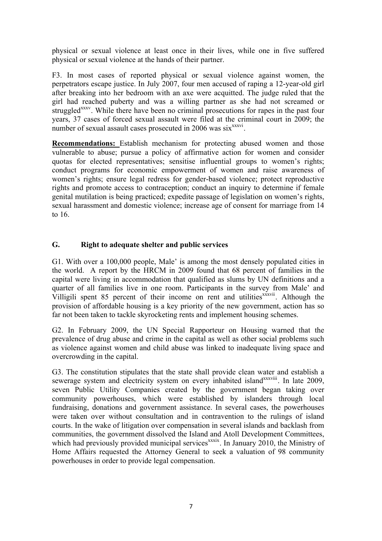physical or sexual violence at least once in their lives, while one in five suffered physical or sexual violence at the hands of their partner.

F3. In most cases of reported physical or sexual violence against women, the perpetrators escape justice. In July 2007, four men accused of raping a 12-year-old girl after breaking into her bedroom with an axe were acquitted. The judge ruled that the girl had reached puberty and was a willing partner as she had not screamed or struggled<sup>xxxv</sup>. While there have been no criminal prosecutions for rapes in the past four years, 37 cases of forced sexual assault were filed at the criminal court in 2009; the number of sexual assault cases prosecuted in 2006 was six<sup>xxxvi</sup>.

**Recommendations:** Establish mechanism for protecting abused women and those vulnerable to abuse; pursue a policy of affirmative action for women and consider quotas for elected representatives; sensitise influential groups to women's rights; conduct programs for economic empowerment of women and raise awareness of women's rights; ensure legal redress for gender-based violence; protect reproductive rights and promote access to contraception; conduct an inquiry to determine if female genital mutilation is being practiced; expedite passage of legislation on women's rights, sexual harassment and domestic violence; increase age of consent for marriage from 14 to 16.

## **G. Right to adequate shelter and public services**

G1. With over a 100,000 people, Male' is among the most densely populated cities in the world. A report by the HRCM in 2009 found that 68 percent of families in the capital were living in accommodation that qualified as slums by UN definitions and a quarter of all families live in one room. Participants in the survey from Male' and Villigili spent  $85$  percent of their income on rent and utilities  $x^x$  is Although the provision of affordable housing is a key priority of the new government, action has so far not been taken to tackle skyrocketing rents and implement housing schemes.

G2. In February 2009, the UN Special Rapporteur on Housing warned that the prevalence of drug abuse and crime in the capital as well as other social problems such as violence against women and child abuse was linked to inadequate living space and overcrowding in the capital.

G3. The constitution stipulates that the state shall provide clean water and establish a sewerage system and electricity system on every inhabited island<sup>xxxviii</sup>. In late 2009, seven Public Utility Companies created by the government began taking over community powerhouses, which were established by islanders through local fundraising, donations and government assistance. In several cases, the powerhouses were taken over without consultation and in contravention to the rulings of island courts. In the wake of litigation over compensation in several islands and backlash from communities, the government dissolved the Island and Atoll Development Committees, which had previously provided municipal services<sup>xxxix</sup>. In January 2010, the Ministry of Home Affairs requested the Attorney General to seek a valuation of 98 community powerhouses in order to provide legal compensation.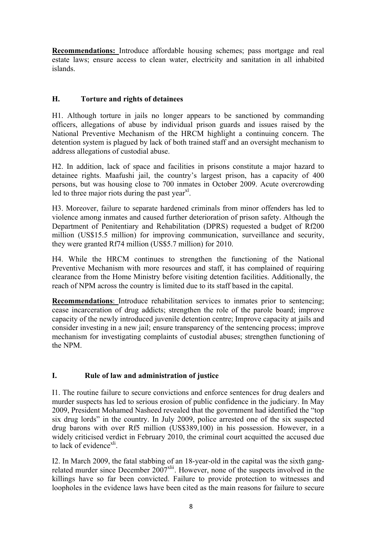**Recommendations:** Introduce affordable housing schemes; pass mortgage and real estate laws; ensure access to clean water, electricity and sanitation in all inhabited islands.

# **H. Torture and rights of detainees**

H1. Although torture in jails no longer appears to be sanctioned by commanding officers, allegations of abuse by individual prison guards and issues raised by the National Preventive Mechanism of the HRCM highlight a continuing concern. The detention system is plagued by lack of both trained staff and an oversight mechanism to address allegations of custodial abuse.

H2. In addition, lack of space and facilities in prisons constitute a major hazard to detainee rights. Maafushi jail, the country's largest prison, has a capacity of 400 persons, but was housing close to 700 inmates in October 2009. Acute overcrowding led to three major riots during the past year $x<sup>1</sup>$ .

H3. Moreover, failure to separate hardened criminals from minor offenders has led to violence among inmates and caused further deterioration of prison safety. Although the Department of Penitentiary and Rehabilitation (DPRS) requested a budget of Rf200 million (US\$15.5 million) for improving communication, surveillance and security, they were granted Rf74 million (US\$5.7 million) for 2010.

H4. While the HRCM continues to strengthen the functioning of the National Preventive Mechanism with more resources and staff, it has complained of requiring clearance from the Home Ministry before visiting detention facilities. Additionally, the reach of NPM across the country is limited due to its staff based in the capital.

**Recommendations**: Introduce rehabilitation services to inmates prior to sentencing; cease incarceration of drug addicts; strengthen the role of the parole board; improve capacity of the newly introduced juvenile detention centre; Improve capacity at jails and consider investing in a new jail; ensure transparency of the sentencing process; improve mechanism for investigating complaints of custodial abuses; strengthen functioning of the NPM.

# **I. Rule of law and administration of justice**

I1. The routine failure to secure convictions and enforce sentences for drug dealers and murder suspects has led to serious erosion of public confidence in the judiciary. In May 2009, President Mohamed Nasheed revealed that the government had identified the "top six drug lords" in the country. In July 2009, police arrested one of the six suspected drug barons with over Rf5 million (US\$389,100) in his possession. However, in a widely criticised verdict in February 2010, the criminal court acquitted the accused due to lack of evidence $x<sup>l</sup>$ .

I2. In March 2009, the fatal stabbing of an 18-year-old in the capital was the sixth gangrelated murder since December 2007<sup>xlii</sup>. However, none of the suspects involved in the killings have so far been convicted. Failure to provide protection to witnesses and loopholes in the evidence laws have been cited as the main reasons for failure to secure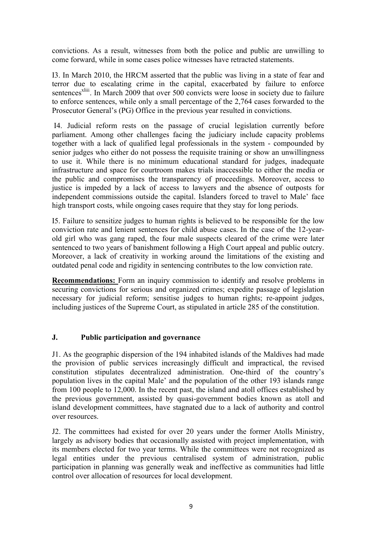convictions. As a result, witnesses from both the police and public are unwilling to come forward, while in some cases police witnesses have retracted statements.

I3. In March 2010, the HRCM asserted that the public was living in a state of fear and terror due to escalating crime in the capital, exacerbated by failure to enforce sentences<sup>xliii</sup>. In March 2009 that over 500 convicts were loose in society due to failure to enforce sentences, while only a small percentage of the 2,764 cases forwarded to the Prosecutor General's (PG) Office in the previous year resulted in convictions.

 I4. Judicial reform rests on the passage of crucial legislation currently before parliament. Among other challenges facing the judiciary include capacity problems together with a lack of qualified legal professionals in the system - compounded by senior judges who either do not possess the requisite training or show an unwillingness to use it. While there is no minimum educational standard for judges, inadequate infrastructure and space for courtroom makes trials inaccessible to either the media or the public and compromises the transparency of proceedings. Moreover, access to justice is impeded by a lack of access to lawyers and the absence of outposts for independent commissions outside the capital. Islanders forced to travel to Male' face high transport costs, while ongoing cases require that they stay for long periods.

I5. Failure to sensitize judges to human rights is believed to be responsible for the low conviction rate and lenient sentences for child abuse cases. In the case of the 12-yearold girl who was gang raped, the four male suspects cleared of the crime were later sentenced to two years of banishment following a High Court appeal and public outcry. Moreover, a lack of creativity in working around the limitations of the existing and outdated penal code and rigidity in sentencing contributes to the low conviction rate.

**Recommendations:** Form an inquiry commission to identify and resolve problems in securing convictions for serious and organized crimes; expedite passage of legislation necessary for judicial reform; sensitise judges to human rights; re-appoint judges, including justices of the Supreme Court, as stipulated in article 285 of the constitution.

## **J. Public participation and governance**

J1. As the geographic dispersion of the 194 inhabited islands of the Maldives had made the provision of public services increasingly difficult and impractical, the revised constitution stipulates decentralized administration. One-third of the country's population lives in the capital Male' and the population of the other 193 islands range from 100 people to 12,000. In the recent past, the island and atoll offices established by the previous government, assisted by quasi-government bodies known as atoll and island development committees, have stagnated due to a lack of authority and control over resources.

J2. The committees had existed for over 20 years under the former Atolls Ministry, largely as advisory bodies that occasionally assisted with project implementation, with its members elected for two year terms. While the committees were not recognized as legal entities under the previous centralised system of administration, public participation in planning was generally weak and ineffective as communities had little control over allocation of resources for local development.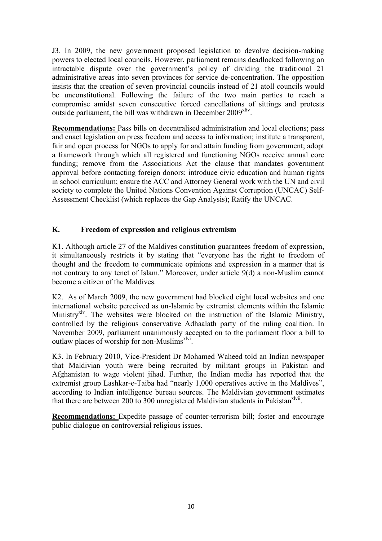J3. In 2009, the new government proposed legislation to devolve decision-making powers to elected local councils. However, parliament remains deadlocked following an intractable dispute over the government's policy of dividing the traditional 21 administrative areas into seven provinces for service de-concentration. The opposition insists that the creation of seven provincial councils instead of 21 atoll councils would be unconstitutional. Following the failure of the two main parties to reach a compromise amidst seven consecutive forced cancellations of sittings and protests outside parliament, the bill was withdrawn in December  $2009<sup>xliv</sup>$ .

**Recommendations:** Pass bills on decentralised administration and local elections; pass and enact legislation on press freedom and access to information; institute a transparent, fair and open process for NGOs to apply for and attain funding from government; adopt a framework through which all registered and functioning NGOs receive annual core funding; remove from the Associations Act the clause that mandates government approval before contacting foreign donors; introduce civic education and human rights in school curriculum; ensure the ACC and Attorney General work with the UN and civil society to complete the United Nations Convention Against Corruption (UNCAC) Self-Assessment Checklist (which replaces the Gap Analysis); Ratify the UNCAC.

# **K. Freedom of expression and religious extremism**

K1. Although article 27 of the Maldives constitution guarantees freedom of expression, it simultaneously restricts it by stating that "everyone has the right to freedom of thought and the freedom to communicate opinions and expression in a manner that is not contrary to any tenet of Islam." Moreover, under article 9(d) a non-Muslim cannot become a citizen of the Maldives.

K2. As of March 2009, the new government had blocked eight local websites and one international website perceived as un-Islamic by extremist elements within the Islamic Ministry<sup>xlv</sup>. The websites were blocked on the instruction of the Islamic Ministry, controlled by the religious conservative Adhaalath party of the ruling coalition. In November 2009, parliament unanimously accepted on to the parliament floor a bill to outlaw places of worship for non-Muslims<sup>xlvi</sup>.

K3. In February 2010, Vice-President Dr Mohamed Waheed told an Indian newspaper that Maldivian youth were being recruited by militant groups in Pakistan and Afghanistan to wage violent jihad. Further, the Indian media has reported that the extremist group Lashkar-e-Taiba had "nearly 1,000 operatives active in the Maldives", according to Indian intelligence bureau sources. The Maldivian government estimates that there are between 200 to 300 unregistered Maldivian students in Pakistan<sup>xlvii</sup>.

**Recommendations:** Expedite passage of counter-terrorism bill; foster and encourage public dialogue on controversial religious issues.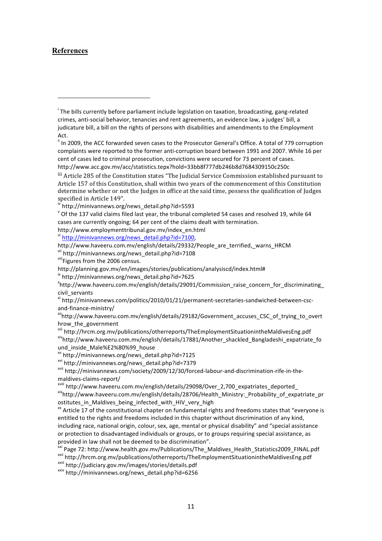#### **References**

http://www.employmenttribunal.gov.mv/index\_en.html

v<sup>i</sup> http://minivannews.org/news\_detail.php?id=7100,

!!!!!!!!!!!!!!!!!!!!!!!!!!!!!!!!!!!!!!!!!!!!!!!!!!!!!!!

ix http://minivannews.org/news\_detail.php?id=7625

<sup>xvi</sup> http://minivannews.org/news\_detail.php?id=7379<br><sup>xvii</sup> http://minivannews.com/society/2009/12/30/forced-labour-and-discrimination-rife-in-the-

maldives-claims-report/<br><sup>xviii</sup> http://www.haveeru.com.mv/english/details/29098/Over\_2,700\_expatriates\_deported\_<br><sup>xix</sup>http://www.haveeru.com.mv/english/details/28706/Health\_Ministry:\_Probability\_of\_expatriate\_pr ostitutes in Maldives being infected with HIV very high

 $\frac{1}{x}$  Article 17 of the constitutional chapter on fundamental rights and freedoms states that "everyone is entitled to the rights and freedoms included in this chapter without discrimination of any kind, including race, national origin, colour, sex, age, mental or physical disability" and "special assistance or protection to disadvantaged individuals or groups, or to groups requiring special assistance, as provided in law shall not be deemed to be discrimination".

<sup>xxi</sup> Page 72: http://www.health.gov.mv/Publications/The\_Maldives\_Health\_Statistics2009\_FINAL.pdf<br><sup>xxii</sup> http://hrcm.org.mv/publications/otherreports/TheEmploymentSituationintheMaldivesEng.pdf<br><sup>xxiii</sup> http://judiciary.gov.

 $\overline{I}$  The bills currently before parliament include legislation on taxation, broadcasting, gang-related crimes, anti-social behavior, tenancies and rent agreements, an evidence law, a judges' bill, a judicature bill, a bill on the rights of persons with disabilities and amendments to the Employment Act.

<sup>&</sup>quot; In 2009, the ACC forwarded seven cases to the Prosecutor General's Office. A total of 779 corruption complaints were reported to the former anti-corruption board between 1991 and 2007. While 16 per cent of cases led to criminal prosecution, convictions were secured for 73 percent of cases. http://www.acc.gov.mv/acc/statistics.tepx?hold=33bb8f777db246b8d7684309150c250c

iii Article 285 of the Constitution states "The Judicial Service Commission established pursuant to Article 157 of this Constitution, shall within two years of the commencement of this Constitution determine whether or not the Judges in office at the said time, possess the qualification of Judges specified in Article 149".

iv<sup>n</sup> http://minivannews.org/news\_detail.php?id=5593

 $\degree$  Of the 137 valid claims filed last year, the tribunal completed 54 cases and resolved 19, while 64 cases are currently ongoing; 64 per cent of the claims dealt with termination.

http://www.haveeru.com.mv/english/details/29332/People\_are\_terrified,\_warns\_HRCM<br>vii http://minivannews.org/news\_detail.php?id=7108<br>viiiFigures from the 2006 census.

http://planning.gov.mv/en/images/stories/publications/analysiscd/index.html#

http://www.haveeru.com.mv/english/details/29091/Commission\_raise\_concern\_for\_discriminating\_ civil\_servants

 $x<sup>i</sup>$ http://minivannews.com/politics/2010/01/21/permanent-secretaries-sandwiched-between-cscand-finance-ministry/<br><sup>xii</sup>http://www.haveeru.com.mv/english/details/29182/Government\_accuses\_CSC\_of\_trying\_to\_overt

hrow\_the\_government

xiii http://hrcm.org.mv/publications/otherreports/TheEmploymentSituationintheMaldivesEng.pdf<br>xivhttp://www.haveeru.com.mv/english/details/17881/Another\_shackled\_Bangladeshi\_expatriate\_fo und\_inside\_Male%E2%80%99\_house<br>
<sup>xv</sup> http://minivannews.org/news\_detail.php?id=7125